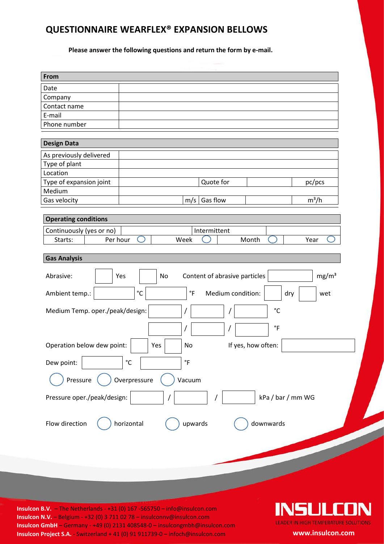## **QUESTIONNAIRE WEARFLEX® EXPANSION BELLOWS**

**Please answer the following questions and return the form by e-mail.**

| Quote for<br>pc/pcs                                                      |
|--------------------------------------------------------------------------|
|                                                                          |
| Gas flow<br>$m^3/h$<br>m/s                                               |
|                                                                          |
|                                                                          |
| Intermittent                                                             |
| Per hour<br>Week<br>Month<br>Year                                        |
|                                                                          |
|                                                                          |
| mg/m <sup>3</sup><br>Content of abrasive particles<br>No<br>Yes          |
| $^{\circ}$ C<br>$\,^\circ \mathsf{F}$<br>Medium condition:<br>dry<br>wet |
| Medium Temp. oper./peak/design:<br>$^{\circ}$ C<br>/                     |
| $^\circ \mathsf{F}$<br>$\prime$                                          |
| Operation below dew point:<br>If yes, how often:<br>Yes<br>No            |
| $\degree$ F<br>$\rm ^{\circ}C$                                           |
|                                                                          |
| Overpressure<br>Vacuum                                                   |
|                                                                          |
| kPa / bar / mm WG<br>Pressure oper./peak/design:<br>/                    |
|                                                                          |

**Insulcon B.V.** – The Netherlands - +31 (0) 167 -565750 – info@insulcon.com **Insulcon N.V.** – Belgium - +32 (0) 3 711 02 78 – insulconnv@insulcon.com **Insulcon GmbH** – Germany - +49 (0) 2131 408548-0 – insulcongmbh@insulcon.com **Insulcon Project S.A.** - Switzerland + 41 (0) 91 911739-0 – infoch@insulcon.com **www.insulcon.com**

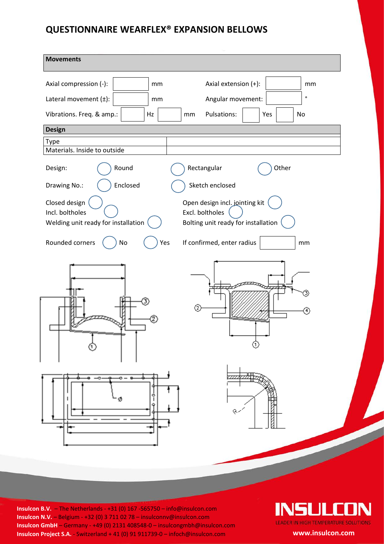## **QUESTIONNAIRE WEARFLEX® EXPANSION BELLOWS**

| <b>Movements</b>                                                        |     |                                                                                          |       |              |
|-------------------------------------------------------------------------|-----|------------------------------------------------------------------------------------------|-------|--------------|
| Axial compression (-):                                                  | mm  | Axial extension (+):                                                                     |       | mm           |
| Lateral movement (±):                                                   | mm  | Angular movement:                                                                        |       | $\mathbf{o}$ |
| Vibrations. Freq. & amp.:                                               | Hz  | Pulsations:<br>mm                                                                        | Yes   | No           |
| <b>Design</b>                                                           |     |                                                                                          |       |              |
| Type<br>Materials. Inside to outside                                    |     |                                                                                          |       |              |
| Round<br>Design:                                                        |     | Rectangular                                                                              | Other |              |
| Enclosed<br>Drawing No.:                                                |     | Sketch enclosed                                                                          |       |              |
| Closed design<br>Incl. boltholes<br>Welding unit ready for installation |     | Open design incl. jointing kit<br>Excl. boltholes<br>Bolting unit ready for installation |       |              |
| Rounded corners<br>No                                                   | Yes | If confirmed, enter radius                                                               |       | mm           |
|                                                                         |     | Q                                                                                        |       |              |
|                                                                         |     |                                                                                          |       |              |

**Insulcon B.V.** – The Netherlands - +31 (0) 167 -565750 – info@insulcon.com **Insulcon N.V.** – Belgium - +32 (0) 3 711 02 78 – insulconnv@insulcon.com **Insulcon GmbH** – Germany - +49 (0) 2131 408548-0 – insulcongmbh@insulcon.com **Insulcon Project S.A.** - Switzerland + 41 (0) 91 911739-0 – infoch@insulcon.com **www.insulcon.com**

INSULCON LEADER IN HIGH TEMPERATURE SOLUTIONS